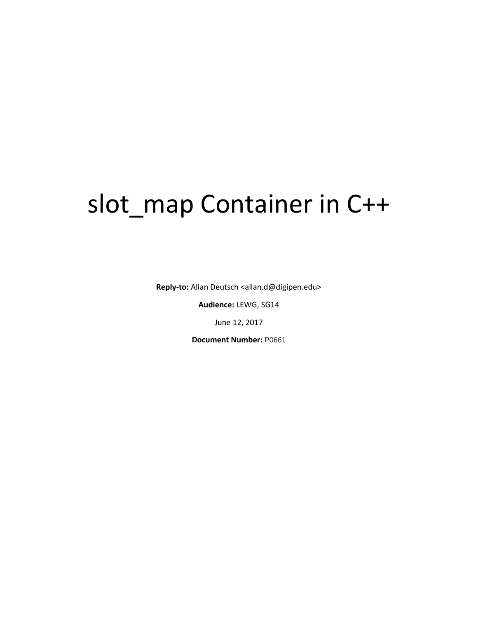# slot\_map Container in C++

**Reply-to:** Allan Deutsch [<allan.d@digipen.edu>](mailto:allan.d@digipen.edu)

**Audience:** LEWG, SG14

June 12, 2017

**Document Number:** P0661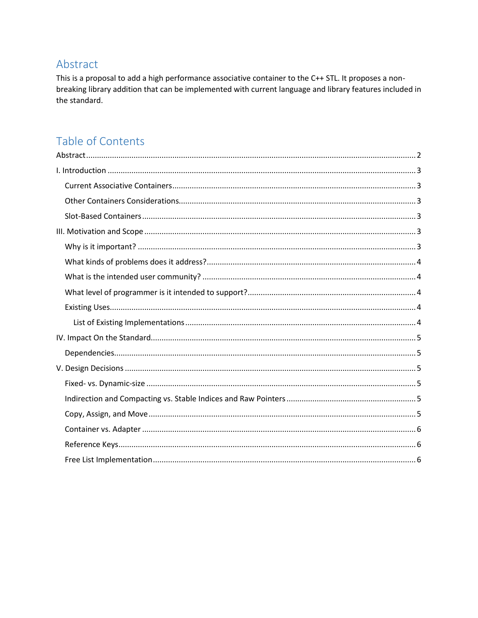## <span id="page-1-0"></span>Abstract

This is a proposal to add a high performance associative container to the C++ STL. It proposes a nonbreaking library addition that can be implemented with current language and library features included in the standard.

# Table of Contents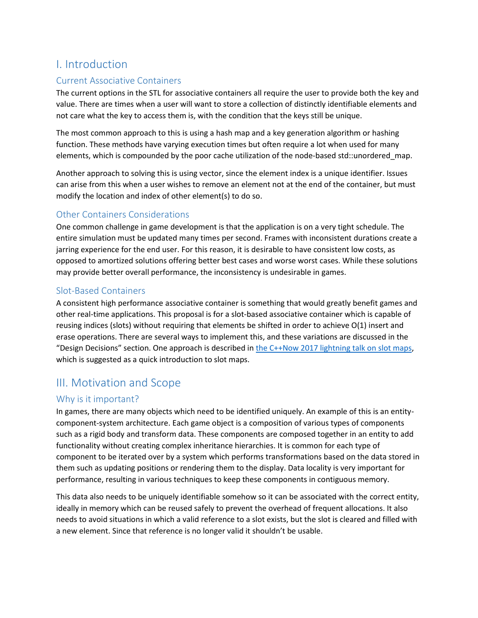## <span id="page-2-0"></span>I. Introduction

#### <span id="page-2-1"></span>Current Associative Containers

The current options in the STL for associative containers all require the user to provide both the key and value. There are times when a user will want to store a collection of distinctly identifiable elements and not care what the key to access them is, with the condition that the keys still be unique.

The most common approach to this is using a hash map and a key generation algorithm or hashing function. These methods have varying execution times but often require a lot when used for many elements, which is compounded by the poor cache utilization of the node-based std::unordered\_map.

Another approach to solving this is using vector, since the element index is a unique identifier. Issues can arise from this when a user wishes to remove an element not at the end of the container, but must modify the location and index of other element(s) to do so.

#### <span id="page-2-2"></span>Other Containers Considerations

One common challenge in game development is that the application is on a very tight schedule. The entire simulation must be updated many times per second. Frames with inconsistent durations create a jarring experience for the end user. For this reason, it is desirable to have consistent low costs, as opposed to amortized solutions offering better best cases and worse worst cases. While these solutions may provide better overall performance, the inconsistency is undesirable in games.

#### <span id="page-2-3"></span>Slot-Based Containers

A consistent high performance associative container is something that would greatly benefit games and other real-time applications. This proposal is for a slot-based associative container which is capable of reusing indices (slots) without requiring that elements be shifted in order to achieve O(1) insert and erase operations. There are several ways to implement this, and these variations are discussed in the "Design Decisions" section. One approach is described i[n the C++Now 2017 lightning talk on slot maps,](https://www.youtube.com/watch?v=SHaAR7XPtNU&t=2s) which is suggested as a quick introduction to slot maps.

## <span id="page-2-4"></span>III. Motivation and Scope

#### <span id="page-2-5"></span>Why is it important?

In games, there are many objects which need to be identified uniquely. An example of this is an entitycomponent-system architecture. Each game object is a composition of various types of components such as a rigid body and transform data. These components are composed together in an entity to add functionality without creating complex inheritance hierarchies. It is common for each type of component to be iterated over by a system which performs transformations based on the data stored in them such as updating positions or rendering them to the display. Data locality is very important for performance, resulting in various techniques to keep these components in contiguous memory.

This data also needs to be uniquely identifiable somehow so it can be associated with the correct entity, ideally in memory which can be reused safely to prevent the overhead of frequent allocations. It also needs to avoid situations in which a valid reference to a slot exists, but the slot is cleared and filled with a new element. Since that reference is no longer valid it shouldn't be usable.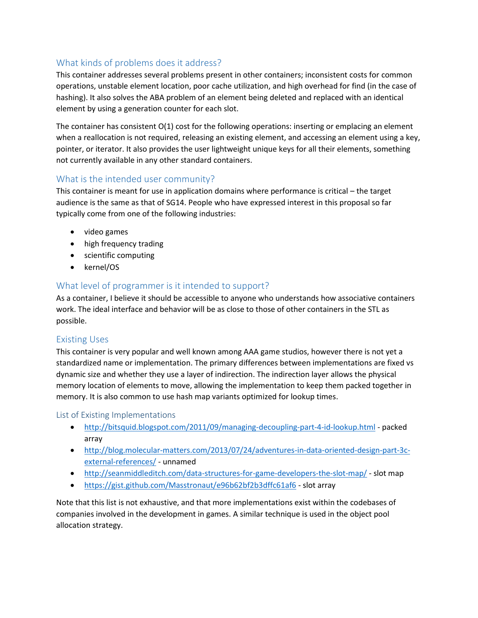## <span id="page-3-0"></span>What kinds of problems does it address?

This container addresses several problems present in other containers; inconsistent costs for common operations, unstable element location, poor cache utilization, and high overhead for find (in the case of hashing). It also solves the ABA problem of an element being deleted and replaced with an identical element by using a generation counter for each slot.

The container has consistent O(1) cost for the following operations: inserting or emplacing an element when a reallocation is not required, releasing an existing element, and accessing an element using a key, pointer, or iterator. It also provides the user lightweight unique keys for all their elements, something not currently available in any other standard containers.

#### <span id="page-3-1"></span>What is the intended user community?

This container is meant for use in application domains where performance is critical – the target audience is the same as that of SG14. People who have expressed interest in this proposal so far typically come from one of the following industries:

- video games
- high frequency trading
- scientific computing
- kernel/OS

#### <span id="page-3-2"></span>What level of programmer is it intended to support?

As a container, I believe it should be accessible to anyone who understands how associative containers work. The ideal interface and behavior will be as close to those of other containers in the STL as possible.

#### <span id="page-3-3"></span>Existing Uses

This container is very popular and well known among AAA game studios, however there is not yet a standardized name or implementation. The primary differences between implementations are fixed vs dynamic size and whether they use a layer of indirection. The indirection layer allows the physical memory location of elements to move, allowing the implementation to keep them packed together in memory. It is also common to use hash map variants optimized for lookup times.

#### <span id="page-3-4"></span>List of Existing Implementations

- <http://bitsquid.blogspot.com/2011/09/managing-decoupling-part-4-id-lookup.html> packed array
- [http://blog.molecular-matters.com/2013/07/24/adventures-in-data-oriented-design-part-3c](http://blog.molecular-matters.com/2013/07/24/adventures-in-data-oriented-design-part-3c-external-references/)[external-references/](http://blog.molecular-matters.com/2013/07/24/adventures-in-data-oriented-design-part-3c-external-references/) - unnamed
- <http://seanmiddleditch.com/data-structures-for-game-developers-the-slot-map/> slot map
- <https://gist.github.com/Masstronaut/e96b62bf2b3dffc61af6> slot array

Note that this list is not exhaustive, and that more implementations exist within the codebases of companies involved in the development in games. A similar technique is used in the object pool allocation strategy.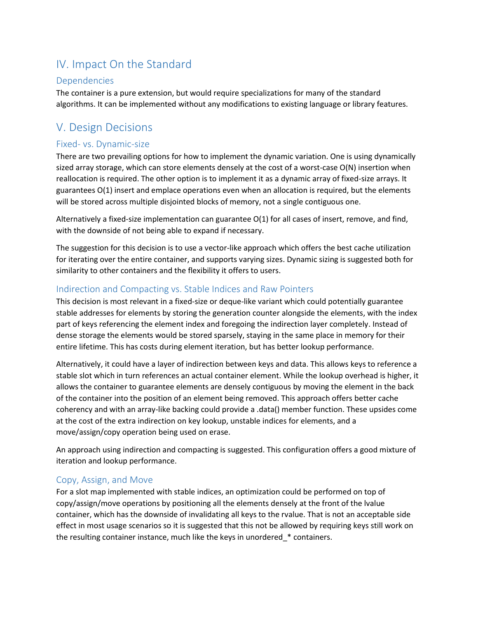## <span id="page-4-0"></span>IV. Impact On the Standard

#### <span id="page-4-1"></span>Dependencies

The container is a pure extension, but would require specializations for many of the standard algorithms. It can be implemented without any modifications to existing language or library features.

## <span id="page-4-2"></span>V. Design Decisions

#### <span id="page-4-3"></span>Fixed- vs. Dynamic-size

There are two prevailing options for how to implement the dynamic variation. One is using dynamically sized array storage, which can store elements densely at the cost of a worst-case O(N) insertion when reallocation is required. The other option is to implement it as a dynamic array of fixed-size arrays. It guarantees O(1) insert and emplace operations even when an allocation is required, but the elements will be stored across multiple disjointed blocks of memory, not a single contiguous one.

Alternatively a fixed-size implementation can guarantee O(1) for all cases of insert, remove, and find, with the downside of not being able to expand if necessary.

The suggestion for this decision is to use a vector-like approach which offers the best cache utilization for iterating over the entire container, and supports varying sizes. Dynamic sizing is suggested both for similarity to other containers and the flexibility it offers to users.

#### <span id="page-4-4"></span>Indirection and Compacting vs. Stable Indices and Raw Pointers

This decision is most relevant in a fixed-size or deque-like variant which could potentially guarantee stable addresses for elements by storing the generation counter alongside the elements, with the index part of keys referencing the element index and foregoing the indirection layer completely. Instead of dense storage the elements would be stored sparsely, staying in the same place in memory for their entire lifetime. This has costs during element iteration, but has better lookup performance.

Alternatively, it could have a layer of indirection between keys and data. This allows keys to reference a stable slot which in turn references an actual container element. While the lookup overhead is higher, it allows the container to guarantee elements are densely contiguous by moving the element in the back of the container into the position of an element being removed. This approach offers better cache coherency and with an array-like backing could provide a .data() member function. These upsides come at the cost of the extra indirection on key lookup, unstable indices for elements, and a move/assign/copy operation being used on erase.

An approach using indirection and compacting is suggested. This configuration offers a good mixture of iteration and lookup performance.

#### <span id="page-4-5"></span>Copy, Assign, and Move

For a slot map implemented with stable indices, an optimization could be performed on top of copy/assign/move operations by positioning all the elements densely at the front of the lvalue container, which has the downside of invalidating all keys to the rvalue. That is not an acceptable side effect in most usage scenarios so it is suggested that this not be allowed by requiring keys still work on the resulting container instance, much like the keys in unordered\_\* containers.